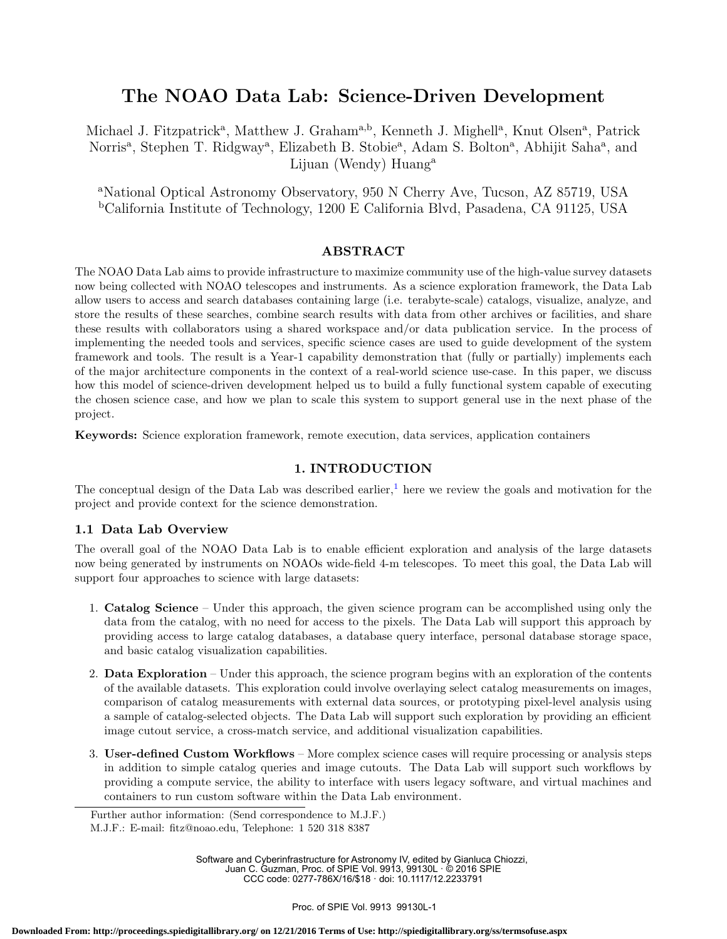# The NOAO Data Lab: Science-Driven Development

Michael J. Fitzpatrick<sup>a</sup>, Matthew J. Graham<sup>a,b</sup>, Kenneth J. Mighell<sup>a</sup>, Knut Olsen<sup>a</sup>, Patrick Norris<sup>a</sup>, Stephen T. Ridgway<sup>a</sup>, Elizabeth B. Stobie<sup>a</sup>, Adam S. Bolton<sup>a</sup>, Abhijit Saha<sup>a</sup>, and Lijuan (Wendy) Huang<sup>a</sup>

<sup>a</sup>National Optical Astronomy Observatory, 950 N Cherry Ave, Tucson, AZ 85719, USA <sup>b</sup>California Institute of Technology, 1200 E California Blvd, Pasadena, CA 91125, USA

# ABSTRACT

The NOAO Data Lab aims to provide infrastructure to maximize community use of the high-value survey datasets now being collected with NOAO telescopes and instruments. As a science exploration framework, the Data Lab allow users to access and search databases containing large (i.e. terabyte-scale) catalogs, visualize, analyze, and store the results of these searches, combine search results with data from other archives or facilities, and share these results with collaborators using a shared workspace and/or data publication service. In the process of implementing the needed tools and services, specific science cases are used to guide development of the system framework and tools. The result is a Year-1 capability demonstration that (fully or partially) implements each of the major architecture components in the context of a real-world science use-case. In this paper, we discuss how this model of science-driven development helped us to build a fully functional system capable of executing the chosen science case, and how we plan to scale this system to support general use in the next phase of the project.

Keywords: Science exploration framework, remote execution, data services, application containers

# 1. INTRODUCTION

The conceptual design of the Data Lab was described earlier,<sup>1</sup> here we review the goals and motivation for the project and provide context for the science demonstration.

# 1.1 Data Lab Overview

The overall goal of the NOAO Data Lab is to enable efficient exploration and analysis of the large datasets now being generated by instruments on NOAOs wide-field 4-m telescopes. To meet this goal, the Data Lab will support four approaches to science with large datasets:

- 1. Catalog Science Under this approach, the given science program can be accomplished using only the data from the catalog, with no need for access to the pixels. The Data Lab will support this approach by providing access to large catalog databases, a database query interface, personal database storage space, and basic catalog visualization capabilities.
- 2. Data Exploration Under this approach, the science program begins with an exploration of the contents of the available datasets. This exploration could involve overlaying select catalog measurements on images, comparison of catalog measurements with external data sources, or prototyping pixel-level analysis using a sample of catalog-selected objects. The Data Lab will support such exploration by providing an efficient image cutout service, a cross-match service, and additional visualization capabilities.
- 3. User-defined Custom Workflows More complex science cases will require processing or analysis steps in addition to simple catalog queries and image cutouts. The Data Lab will support such workflows by providing a compute service, the ability to interface with users legacy software, and virtual machines and containers to run custom software within the Data Lab environment.

Software and Cyberinfrastructure for Astronomy IV, edited by Gianluca Chiozzi, Juan C. Guzman, Proc. of SPIE Vol. 9913, 99130L · © 2016 SPIE CCC code: 0277-786X/16/\$18 · doi: 10.1117/12.2233791

Further author information: (Send correspondence to M.J.F.)

M.J.F.: E-mail: fitz@noao.edu, Telephone: 1 520 318 8387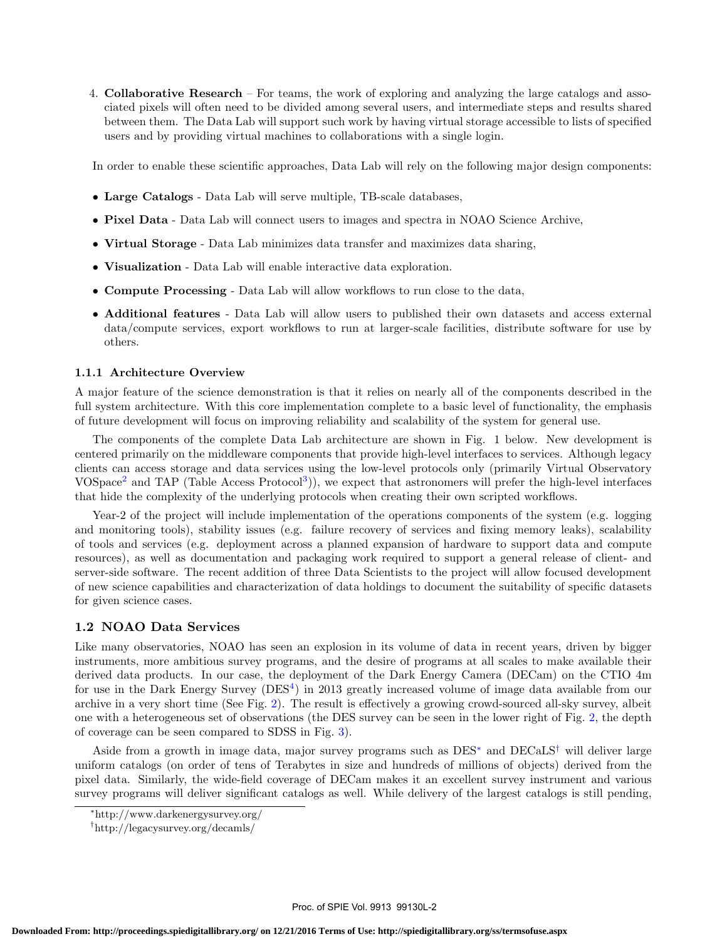4. Collaborative Research – For teams, the work of exploring and analyzing the large catalogs and associated pixels will often need to be divided among several users, and intermediate steps and results shared between them. The Data Lab will support such work by having virtual storage accessible to lists of specified users and by providing virtual machines to collaborations with a single login.

In order to enable these scientific approaches, Data Lab will rely on the following major design components:

- Large Catalogs Data Lab will serve multiple, TB-scale databases,
- Pixel Data Data Lab will connect users to images and spectra in NOAO Science Archive,
- Virtual Storage Data Lab minimizes data transfer and maximizes data sharing,
- Visualization Data Lab will enable interactive data exploration.
- Compute Processing Data Lab will allow workflows to run close to the data,
- Additional features Data Lab will allow users to published their own datasets and access external data/compute services, export workflows to run at larger-scale facilities, distribute software for use by others.

## 1.1.1 Architecture Overview

A major feature of the science demonstration is that it relies on nearly all of the components described in the full system architecture. With this core implementation complete to a basic level of functionality, the emphasis of future development will focus on improving reliability and scalability of the system for general use.

The components of the complete Data Lab architecture are shown in Fig. 1 below. New development is centered primarily on the middleware components that provide high-level interfaces to services. Although legacy clients can access storage and data services using the low-level protocols only (primarily Virtual Observatory VOSpace<sup>2</sup> and TAP (Table Access Protocol<sup>3</sup>)), we expect that astronomers will prefer the high-level interfaces that hide the complexity of the underlying protocols when creating their own scripted workflows.

Year-2 of the project will include implementation of the operations components of the system (e.g. logging and monitoring tools), stability issues (e.g. failure recovery of services and fixing memory leaks), scalability of tools and services (e.g. deployment across a planned expansion of hardware to support data and compute resources), as well as documentation and packaging work required to support a general release of client- and server-side software. The recent addition of three Data Scientists to the project will allow focused development of new science capabilities and characterization of data holdings to document the suitability of specific datasets for given science cases.

# 1.2 NOAO Data Services

Like many observatories, NOAO has seen an explosion in its volume of data in recent years, driven by bigger instruments, more ambitious survey programs, and the desire of programs at all scales to make available their derived data products. In our case, the deployment of the Dark Energy Camera (DECam) on the CTIO 4m for use in the Dark Energy Survey (DES<sup>4</sup>) in 2013 greatly increased volume of image data available from our archive in a very short time (See Fig. 2). The result is effectively a growing crowd-sourced all-sky survey, albeit one with a heterogeneous set of observations (the DES survey can be seen in the lower right of Fig. 2, the depth of coverage can be seen compared to SDSS in Fig. 3).

Aside from a growth in image data, major survey programs such as DES<sup>∗</sup> and DECaLS† will deliver large uniform catalogs (on order of tens of Terabytes in size and hundreds of millions of objects) derived from the pixel data. Similarly, the wide-field coverage of DECam makes it an excellent survey instrument and various survey programs will deliver significant catalogs as well. While delivery of the largest catalogs is still pending,

<sup>∗</sup>http://www.darkenergysurvey.org/

<sup>†</sup>http://legacysurvey.org/decamls/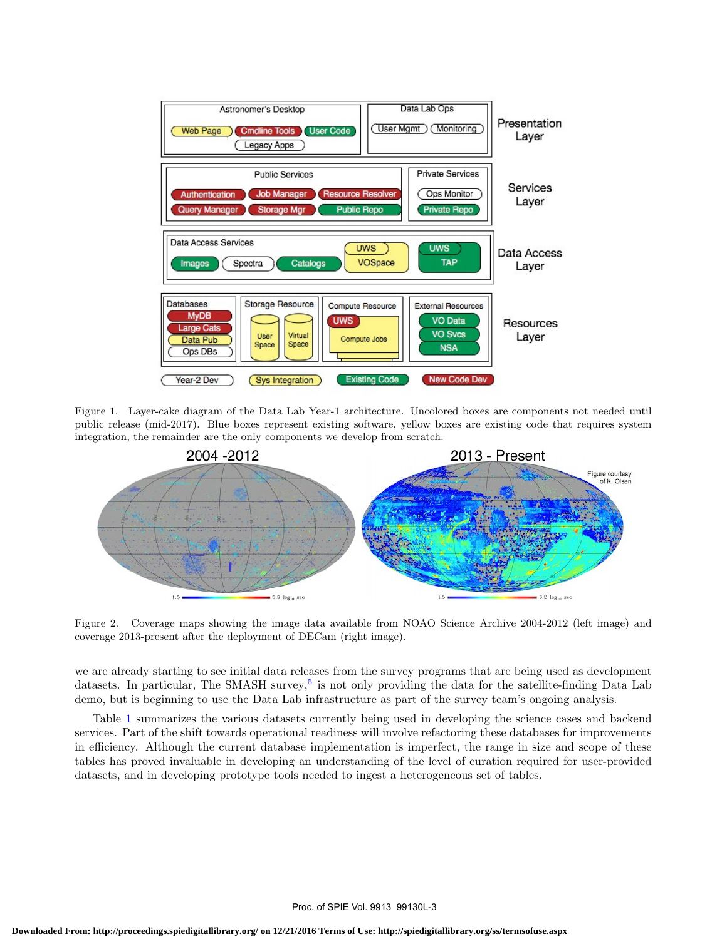

Figure 1. Layer-cake diagram of the Data Lab Year-1 architecture. Uncolored boxes are components not needed until public release (mid-2017). Blue boxes represent existing software, yellow boxes are existing code that requires system integration, the remainder are the only components we develop from scratch.



Figure 2. Coverage maps showing the image data available from NOAO Science Archive 2004-2012 (left image) and coverage 2013-present after the deployment of DECam (right image).

we are already starting to see initial data releases from the survey programs that are being used as development datasets. In particular, The SMASH survey,<sup>5</sup> is not only providing the data for the satellite-finding Data Lab demo, but is beginning to use the Data Lab infrastructure as part of the survey team's ongoing analysis.

Table 1 summarizes the various datasets currently being used in developing the science cases and backend services. Part of the shift towards operational readiness will involve refactoring these databases for improvements in efficiency. Although the current database implementation is imperfect, the range in size and scope of these tables has proved invaluable in developing an understanding of the level of curation required for user-provided datasets, and in developing prototype tools needed to ingest a heterogeneous set of tables.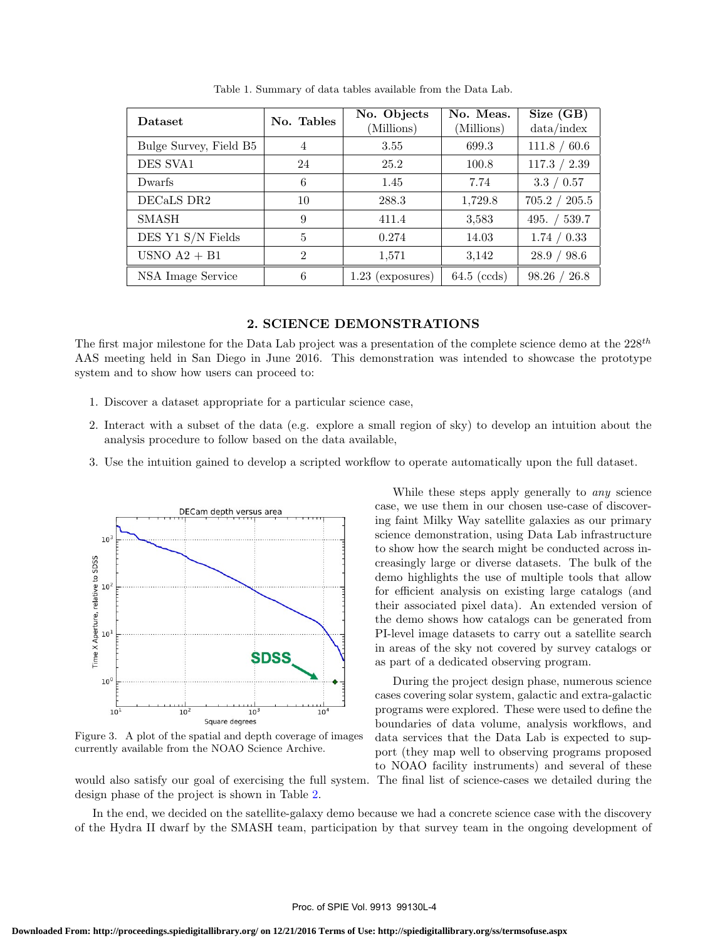| Dataset                | No. Tables     | No. Objects<br>(Millions) | No. Meas.<br>(Millions) | Size (GB)<br>data/index |
|------------------------|----------------|---------------------------|-------------------------|-------------------------|
| Bulge Survey, Field B5 | 4              | 3.55                      | 699.3                   | 111.8 / 60.6            |
| DES SVA1               | 24             | 25.2                      | 100.8                   | 117.3 / 2.39            |
| Dwarfs                 | 6              | 1.45                      | 7.74                    | 3.3 / 0.57              |
| DECaLS DR2             | 10             | 288.3                     | 1,729.8                 | 705.2 / 205.5           |
| <b>SMASH</b>           | 9              | 411.4                     | 3,583                   | 495. $/$ 539.7          |
| DES Y1 S/N Fields      | 5              | 0.274                     | 14.03                   | 1.74 / 0.33             |
| USNO $A2 + B1$         | $\mathfrak{D}$ | 1,571                     | 3,142                   | 28.9 / 98.6             |
| NSA Image Service      | 6              | $1.23$ (exposures)        | $64.5$ (ccds)           | 98.26 / 26.8            |

Table 1. Summary of data tables available from the Data Lab.

#### 2. SCIENCE DEMONSTRATIONS

The first major milestone for the Data Lab project was a presentation of the complete science demo at the  $228^{th}$ AAS meeting held in San Diego in June 2016. This demonstration was intended to showcase the prototype system and to show how users can proceed to:

- 1. Discover a dataset appropriate for a particular science case,
- 2. Interact with a subset of the data (e.g. explore a small region of sky) to develop an intuition about the analysis procedure to follow based on the data available,
- 3. Use the intuition gained to develop a scripted workflow to operate automatically upon the full dataset.



Figure 3. A plot of the spatial and depth coverage of images currently available from the NOAO Science Archive.

design phase of the project is shown in Table 2.

While these steps apply generally to *any* science case, we use them in our chosen use-case of discovering faint Milky Way satellite galaxies as our primary science demonstration, using Data Lab infrastructure to show how the search might be conducted across increasingly large or diverse datasets. The bulk of the demo highlights the use of multiple tools that allow for efficient analysis on existing large catalogs (and their associated pixel data). An extended version of the demo shows how catalogs can be generated from PI-level image datasets to carry out a satellite search in areas of the sky not covered by survey catalogs or as part of a dedicated observing program.

During the project design phase, numerous science cases covering solar system, galactic and extra-galactic programs were explored. These were used to define the boundaries of data volume, analysis workflows, and data services that the Data Lab is expected to support (they map well to observing programs proposed to NOAO facility instruments) and several of these would also satisfy our goal of exercising the full system. The final list of science-cases we detailed during the

In the end, we decided on the satellite-galaxy demo because we had a concrete science case with the discovery of the Hydra II dwarf by the SMASH team, participation by that survey team in the ongoing development of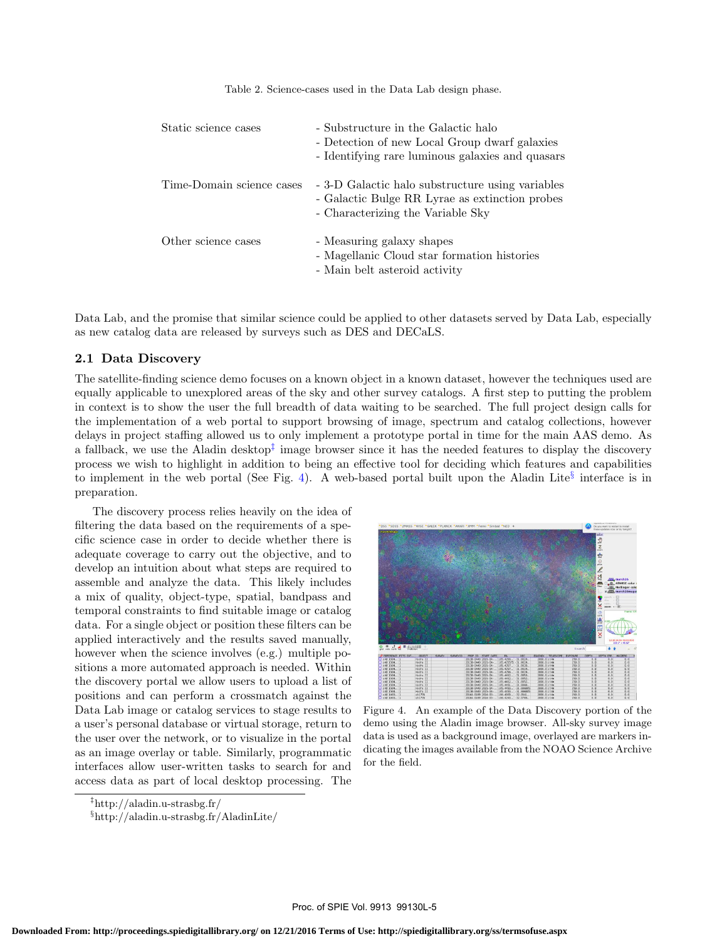Table 2. Science-cases used in the Data Lab design phase.

| Static science cases      | - Substructure in the Galactic halo<br>- Detection of new Local Group dwarf galaxies<br>- Identifying rare luminous galaxies and quasars |
|---------------------------|------------------------------------------------------------------------------------------------------------------------------------------|
| Time-Domain science cases | - 3-D Galactic halo substructure using variables<br>- Galactic Bulge RR Lyrae as extinction probes<br>- Characterizing the Variable Sky  |
| Other science cases       | - Measuring galaxy shapes<br>- Magellanic Cloud star formation histories<br>- Main belt asteroid activity                                |

Data Lab, and the promise that similar science could be applied to other datasets served by Data Lab, especially as new catalog data are released by surveys such as DES and DECaLS.

# 2.1 Data Discovery

The satellite-finding science demo focuses on a known object in a known dataset, however the techniques used are equally applicable to unexplored areas of the sky and other survey catalogs. A first step to putting the problem in context is to show the user the full breadth of data waiting to be searched. The full project design calls for the implementation of a web portal to support browsing of image, spectrum and catalog collections, however delays in project staffing allowed us to only implement a prototype portal in time for the main AAS demo. As a fallback, we use the Aladin desktop<sup>‡</sup> image browser since it has the needed features to display the discovery process we wish to highlight in addition to being an effective tool for deciding which features and capabilities to implement in the web portal (See Fig. 4). A web-based portal built upon the Aladin Lite<sup>§</sup> interface is in preparation.

The discovery process relies heavily on the idea of filtering the data based on the requirements of a specific science case in order to decide whether there is adequate coverage to carry out the objective, and to develop an intuition about what steps are required to assemble and analyze the data. This likely includes a mix of quality, object-type, spatial, bandpass and temporal constraints to find suitable image or catalog data. For a single object or position these filters can be applied interactively and the results saved manually, however when the science involves (e.g.) multiple positions a more automated approach is needed. Within the discovery portal we allow users to upload a list of positions and can perform a crossmatch against the Data Lab image or catalog services to stage results to a user's personal database or virtual storage, return to the user over the network, or to visualize in the portal as an image overlay or table. Similarly, programmatic interfaces allow user-written tasks to search for and access data as part of local desktop processing. The



Figure 4. An example of the Data Discovery portion of the demo using the Aladin image browser. All-sky survey image data is used as a background image, overlayed are markers indicating the images available from the NOAO Science Archive for the field.

<sup>‡</sup>http://aladin.u-strasbg.fr/

<sup>§</sup>http://aladin.u-strasbg.fr/AladinLite/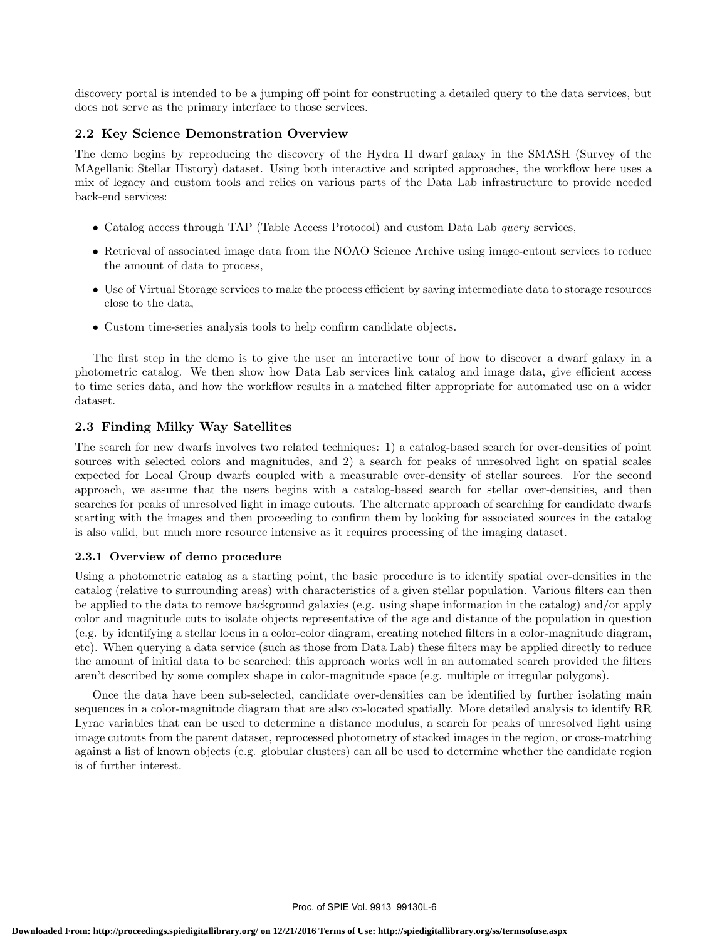discovery portal is intended to be a jumping off point for constructing a detailed query to the data services, but does not serve as the primary interface to those services.

# 2.2 Key Science Demonstration Overview

The demo begins by reproducing the discovery of the Hydra II dwarf galaxy in the SMASH (Survey of the MAgellanic Stellar History) dataset. Using both interactive and scripted approaches, the workflow here uses a mix of legacy and custom tools and relies on various parts of the Data Lab infrastructure to provide needed back-end services:

- Catalog access through TAP (Table Access Protocol) and custom Data Lab *query* services,
- Retrieval of associated image data from the NOAO Science Archive using image-cutout services to reduce the amount of data to process,
- Use of Virtual Storage services to make the process efficient by saving intermediate data to storage resources close to the data,
- Custom time-series analysis tools to help confirm candidate objects.

The first step in the demo is to give the user an interactive tour of how to discover a dwarf galaxy in a photometric catalog. We then show how Data Lab services link catalog and image data, give efficient access to time series data, and how the workflow results in a matched filter appropriate for automated use on a wider dataset.

# 2.3 Finding Milky Way Satellites

The search for new dwarfs involves two related techniques: 1) a catalog-based search for over-densities of point sources with selected colors and magnitudes, and 2) a search for peaks of unresolved light on spatial scales expected for Local Group dwarfs coupled with a measurable over-density of stellar sources. For the second approach, we assume that the users begins with a catalog-based search for stellar over-densities, and then searches for peaks of unresolved light in image cutouts. The alternate approach of searching for candidate dwarfs starting with the images and then proceeding to confirm them by looking for associated sources in the catalog is also valid, but much more resource intensive as it requires processing of the imaging dataset.

## 2.3.1 Overview of demo procedure

Using a photometric catalog as a starting point, the basic procedure is to identify spatial over-densities in the catalog (relative to surrounding areas) with characteristics of a given stellar population. Various filters can then be applied to the data to remove background galaxies (e.g. using shape information in the catalog) and/or apply color and magnitude cuts to isolate objects representative of the age and distance of the population in question (e.g. by identifying a stellar locus in a color-color diagram, creating notched filters in a color-magnitude diagram, etc). When querying a data service (such as those from Data Lab) these filters may be applied directly to reduce the amount of initial data to be searched; this approach works well in an automated search provided the filters aren't described by some complex shape in color-magnitude space (e.g. multiple or irregular polygons).

Once the data have been sub-selected, candidate over-densities can be identified by further isolating main sequences in a color-magnitude diagram that are also co-located spatially. More detailed analysis to identify RR Lyrae variables that can be used to determine a distance modulus, a search for peaks of unresolved light using image cutouts from the parent dataset, reprocessed photometry of stacked images in the region, or cross-matching against a list of known objects (e.g. globular clusters) can all be used to determine whether the candidate region is of further interest.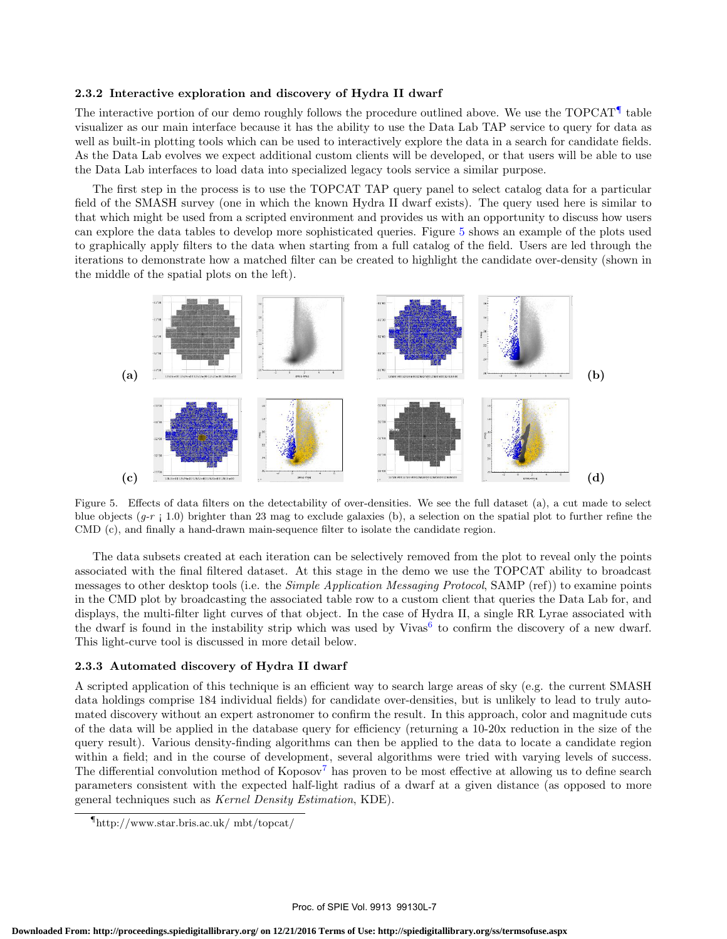#### 2.3.2 Interactive exploration and discovery of Hydra II dwarf

The interactive portion of our demo roughly follows the procedure outlined above. We use the TOPCAT<sup>¶</sup> table visualizer as our main interface because it has the ability to use the Data Lab TAP service to query for data as well as built-in plotting tools which can be used to interactively explore the data in a search for candidate fields. As the Data Lab evolves we expect additional custom clients will be developed, or that users will be able to use the Data Lab interfaces to load data into specialized legacy tools service a similar purpose.

The first step in the process is to use the TOPCAT TAP query panel to select catalog data for a particular field of the SMASH survey (one in which the known Hydra II dwarf exists). The query used here is similar to that which might be used from a scripted environment and provides us with an opportunity to discuss how users can explore the data tables to develop more sophisticated queries. Figure 5 shows an example of the plots used to graphically apply filters to the data when starting from a full catalog of the field. Users are led through the iterations to demonstrate how a matched filter can be created to highlight the candidate over-density (shown in the middle of the spatial plots on the left).



Figure 5. Effects of data filters on the detectability of over-densities. We see the full dataset (a), a cut made to select blue objects  $(q-r; 1.0)$  brighter than 23 mag to exclude galaxies (b), a selection on the spatial plot to further refine the CMD (c), and finally a hand-drawn main-sequence filter to isolate the candidate region.

The data subsets created at each iteration can be selectively removed from the plot to reveal only the points associated with the final filtered dataset. At this stage in the demo we use the TOPCAT ability to broadcast messages to other desktop tools (i.e. the *Simple Application Messaging Protocol*, SAMP (ref)) to examine points in the CMD plot by broadcasting the associated table row to a custom client that queries the Data Lab for, and displays, the multi-filter light curves of that object. In the case of Hydra II, a single RR Lyrae associated with the dwarf is found in the instability strip which was used by Vivas<sup>6</sup> to confirm the discovery of a new dwarf. This light-curve tool is discussed in more detail below.

#### 2.3.3 Automated discovery of Hydra II dwarf

A scripted application of this technique is an efficient way to search large areas of sky (e.g. the current SMASH data holdings comprise 184 individual fields) for candidate over-densities, but is unlikely to lead to truly automated discovery without an expert astronomer to confirm the result. In this approach, color and magnitude cuts of the data will be applied in the database query for efficiency (returning a 10-20x reduction in the size of the query result). Various density-finding algorithms can then be applied to the data to locate a candidate region within a field; and in the course of development, several algorithms were tried with varying levels of success. The differential convolution method of  $K$ oposov<sup>7</sup> has proven to be most effective at allowing us to define search parameters consistent with the expected half-light radius of a dwarf at a given distance (as opposed to more general techniques such as Kernel Density Estimation, KDE).

<sup>¶</sup>http://www.star.bris.ac.uk/ mbt/topcat/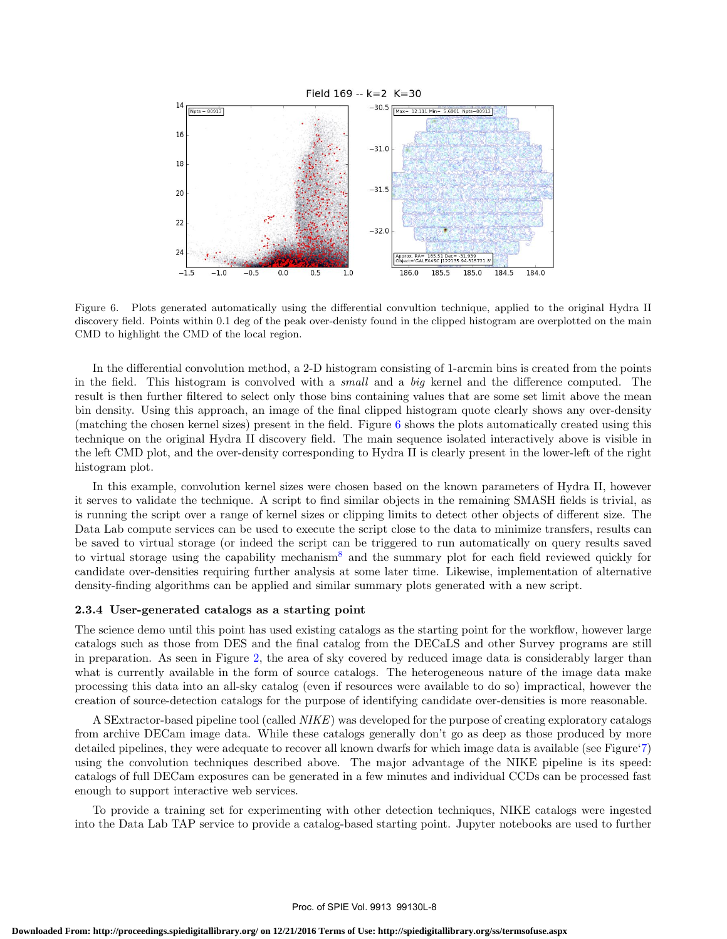

Figure 6. Plots generated automatically using the differential convultion technique, applied to the original Hydra II discovery field. Points within 0.1 deg of the peak over-denisty found in the clipped histogram are overplotted on the main CMD to highlight the CMD of the local region.

In the differential convolution method, a 2-D histogram consisting of 1-arcmin bins is created from the points in the field. This histogram is convolved with a small and a big kernel and the difference computed. The result is then further filtered to select only those bins containing values that are some set limit above the mean bin density. Using this approach, an image of the final clipped histogram quote clearly shows any over-density (matching the chosen kernel sizes) present in the field. Figure 6 shows the plots automatically created using this technique on the original Hydra II discovery field. The main sequence isolated interactively above is visible in the left CMD plot, and the over-density corresponding to Hydra II is clearly present in the lower-left of the right histogram plot.

In this example, convolution kernel sizes were chosen based on the known parameters of Hydra II, however it serves to validate the technique. A script to find similar objects in the remaining SMASH fields is trivial, as is running the script over a range of kernel sizes or clipping limits to detect other objects of different size. The Data Lab compute services can be used to execute the script close to the data to minimize transfers, results can be saved to virtual storage (or indeed the script can be triggered to run automatically on query results saved to virtual storage using the capability mechanism<sup>8</sup> and the summary plot for each field reviewed quickly for candidate over-densities requiring further analysis at some later time. Likewise, implementation of alternative density-finding algorithms can be applied and similar summary plots generated with a new script.

#### 2.3.4 User-generated catalogs as a starting point

The science demo until this point has used existing catalogs as the starting point for the workflow, however large catalogs such as those from DES and the final catalog from the DECaLS and other Survey programs are still in preparation. As seen in Figure 2, the area of sky covered by reduced image data is considerably larger than what is currently available in the form of source catalogs. The heterogeneous nature of the image data make processing this data into an all-sky catalog (even if resources were available to do so) impractical, however the creation of source-detection catalogs for the purpose of identifying candidate over-densities is more reasonable.

A SExtractor-based pipeline tool (called NIKE) was developed for the purpose of creating exploratory catalogs from archive DECam image data. While these catalogs generally don't go as deep as those produced by more detailed pipelines, they were adequate to recover all known dwarfs for which image data is available (see Figure'7) using the convolution techniques described above. The major advantage of the NIKE pipeline is its speed: catalogs of full DECam exposures can be generated in a few minutes and individual CCDs can be processed fast enough to support interactive web services.

To provide a training set for experimenting with other detection techniques, NIKE catalogs were ingested into the Data Lab TAP service to provide a catalog-based starting point. Jupyter notebooks are used to further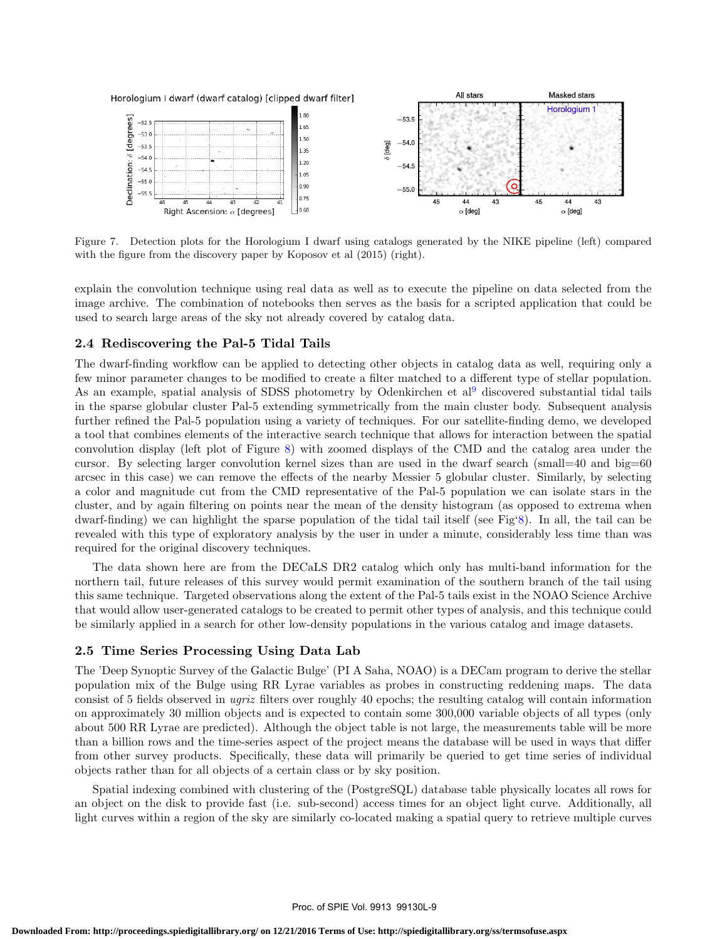

Figure 7. Detection plots for the Horologium I dwarf using catalogs generated by the NIKE pipeline (left) compared with the figure from the discovery paper by Koposov et al  $(2015)$  (right).

explain the convolution technique using real data as well as to execute the pipeline on data selected from the image archive. The combination of notebooks then serves as the basis for a scripted application that could be used to search large areas of the sky not already covered by catalog data.

# 2.4 Rediscovering the Pal-5 Tidal Tails

The dwarf-finding workflow can be applied to detecting other objects in catalog data as well, requiring only a few minor parameter changes to be modified to create a filter matched to a different type of stellar population. As an example, spatial analysis of SDSS photometry by Odenkirchen et al<sup>9</sup> discovered substantial tidal tails in the sparse globular cluster Pal-5 extending symmetrically from the main cluster body. Subsequent analysis further refined the Pal-5 population using a variety of techniques. For our satellite-finding demo, we developed a tool that combines elements of the interactive search technique that allows for interaction between the spatial convolution display (left plot of Figure 8) with zoomed displays of the CMD and the catalog area under the cursor. By selecting larger convolution kernel sizes than are used in the dwarf search (small=40 and big=60 arcsec in this case) we can remove the effects of the nearby Messier 5 globular cluster. Similarly, by selecting a color and magnitude cut from the CMD representative of the Pal-5 population we can isolate stars in the cluster, and by again filtering on points near the mean of the density histogram (as opposed to extrema when dwarf-finding) we can highlight the sparse population of the tidal tail itself (see Fig'8). In all, the tail can be revealed with this type of exploratory analysis by the user in under a minute, considerably less time than was required for the original discovery techniques.

The data shown here are from the DECaLS DR2 catalog which only has multi-band information for the northern tail, future releases of this survey would permit examination of the southern branch of the tail using this same technique. Targeted observations along the extent of the Pal-5 tails exist in the NOAO Science Archive that would allow user-generated catalogs to be created to permit other types of analysis, and this technique could be similarly applied in a search for other low-density populations in the various catalog and image datasets.

# 2.5 Time Series Processing Using Data Lab

The 'Deep Synoptic Survey of the Galactic Bulge' (PI A Saha, NOAO) is a DECam program to derive the stellar population mix of the Bulge using RR Lyrae variables as probes in constructing reddening maps. The data consist of 5 fields observed in ugriz filters over roughly 40 epochs; the resulting catalog will contain information on approximately 30 million objects and is expected to contain some 300,000 variable objects of all types (only about 500 RR Lyrae are predicted). Although the object table is not large, the measurements table will be more than a billion rows and the time-series aspect of the project means the database will be used in ways that differ from other survey products. Specifically, these data will primarily be queried to get time series of individual objects rather than for all objects of a certain class or by sky position.

Spatial indexing combined with clustering of the (PostgreSQL) database table physically locates all rows for an object on the disk to provide fast (i.e. sub-second) access times for an object light curve. Additionally, all light curves within a region of the sky are similarly co-located making a spatial query to retrieve multiple curves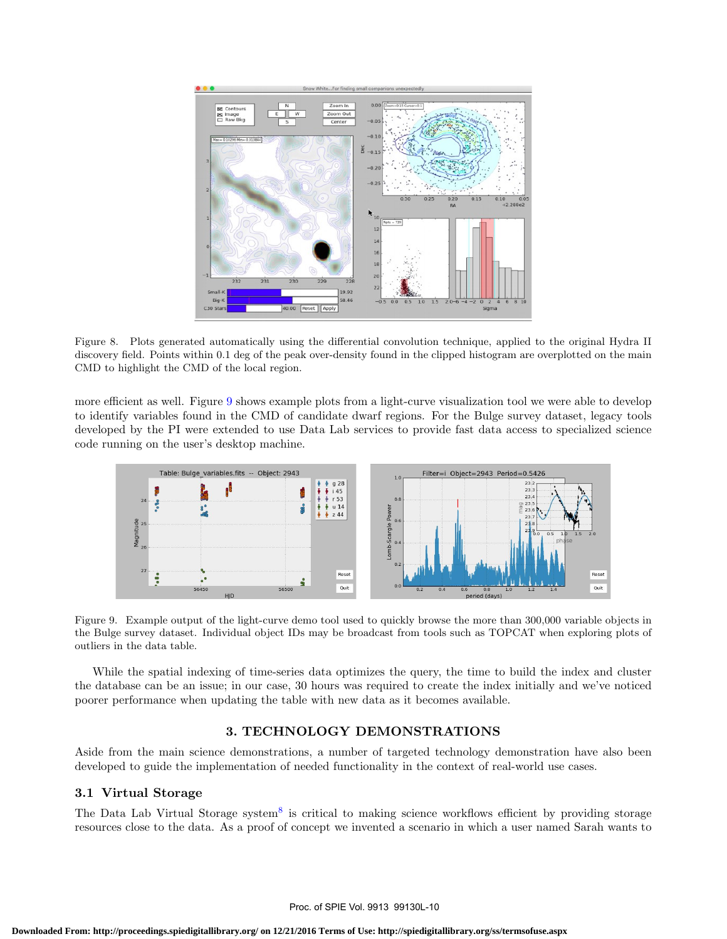

Figure 8. Plots generated automatically using the differential convolution technique, applied to the original Hydra II discovery field. Points within 0.1 deg of the peak over-density found in the clipped histogram are overplotted on the main CMD to highlight the CMD of the local region.

more efficient as well. Figure 9 shows example plots from a light-curve visualization tool we were able to develop to identify variables found in the CMD of candidate dwarf regions. For the Bulge survey dataset, legacy tools developed by the PI were extended to use Data Lab services to provide fast data access to specialized science code running on the user's desktop machine.



Figure 9. Example output of the light-curve demo tool used to quickly browse the more than 300,000 variable objects in the Bulge survey dataset. Individual object IDs may be broadcast from tools such as TOPCAT when exploring plots of outliers in the data table.

While the spatial indexing of time-series data optimizes the query, the time to build the index and cluster the database can be an issue; in our case, 30 hours was required to create the index initially and we've noticed poorer performance when updating the table with new data as it becomes available.

# 3. TECHNOLOGY DEMONSTRATIONS

Aside from the main science demonstrations, a number of targeted technology demonstration have also been developed to guide the implementation of needed functionality in the context of real-world use cases.

#### 3.1 Virtual Storage

The Data Lab Virtual Storage system<sup>8</sup> is critical to making science workflows efficient by providing storage resources close to the data. As a proof of concept we invented a scenario in which a user named Sarah wants to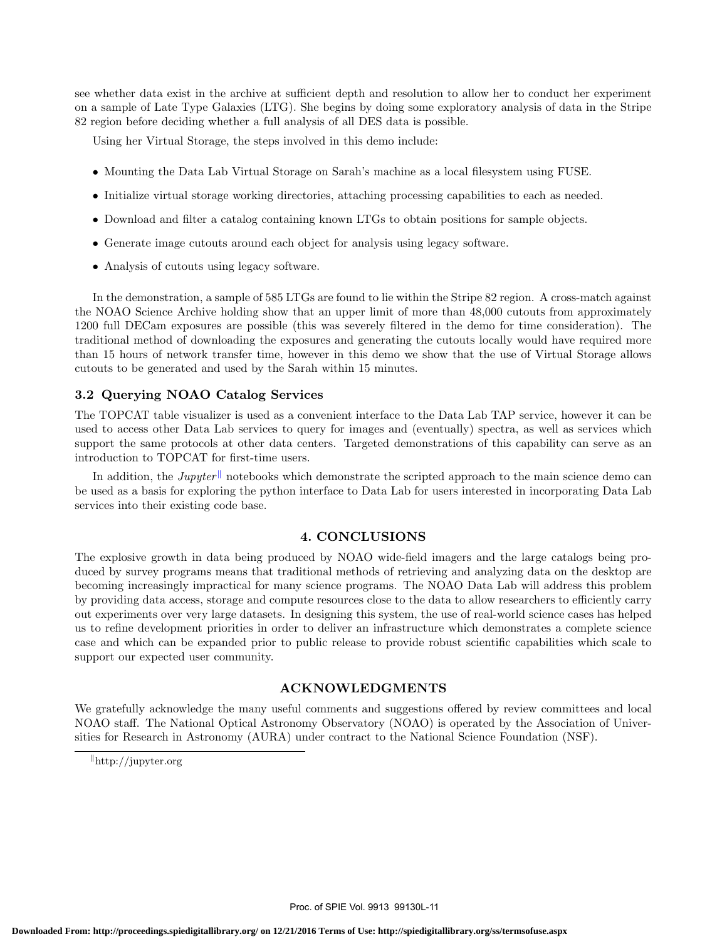see whether data exist in the archive at sufficient depth and resolution to allow her to conduct her experiment on a sample of Late Type Galaxies (LTG). She begins by doing some exploratory analysis of data in the Stripe 82 region before deciding whether a full analysis of all DES data is possible.

Using her Virtual Storage, the steps involved in this demo include:

- Mounting the Data Lab Virtual Storage on Sarah's machine as a local filesystem using FUSE.
- Initialize virtual storage working directories, attaching processing capabilities to each as needed.
- Download and filter a catalog containing known LTGs to obtain positions for sample objects.
- Generate image cutouts around each object for analysis using legacy software.
- Analysis of cutouts using legacy software.

In the demonstration, a sample of 585 LTGs are found to lie within the Stripe 82 region. A cross-match against the NOAO Science Archive holding show that an upper limit of more than 48,000 cutouts from approximately 1200 full DECam exposures are possible (this was severely filtered in the demo for time consideration). The traditional method of downloading the exposures and generating the cutouts locally would have required more than 15 hours of network transfer time, however in this demo we show that the use of Virtual Storage allows cutouts to be generated and used by the Sarah within 15 minutes.

## 3.2 Querying NOAO Catalog Services

The TOPCAT table visualizer is used as a convenient interface to the Data Lab TAP service, however it can be used to access other Data Lab services to query for images and (eventually) spectra, as well as services which support the same protocols at other data centers. Targeted demonstrations of this capability can serve as an introduction to TOPCAT for first-time users.

In addition, the Jupyter notebooks which demonstrate the scripted approach to the main science demo can be used as a basis for exploring the python interface to Data Lab for users interested in incorporating Data Lab services into their existing code base.

# 4. CONCLUSIONS

The explosive growth in data being produced by NOAO wide-field imagers and the large catalogs being produced by survey programs means that traditional methods of retrieving and analyzing data on the desktop are becoming increasingly impractical for many science programs. The NOAO Data Lab will address this problem by providing data access, storage and compute resources close to the data to allow researchers to efficiently carry out experiments over very large datasets. In designing this system, the use of real-world science cases has helped us to refine development priorities in order to deliver an infrastructure which demonstrates a complete science case and which can be expanded prior to public release to provide robust scientific capabilities which scale to support our expected user community.

#### ACKNOWLEDGMENTS

We gratefully acknowledge the many useful comments and suggestions offered by review committees and local NOAO staff. The National Optical Astronomy Observatory (NOAO) is operated by the Association of Universities for Research in Astronomy (AURA) under contract to the National Science Foundation (NSF).

 $\Vert$ http://jupyter.org